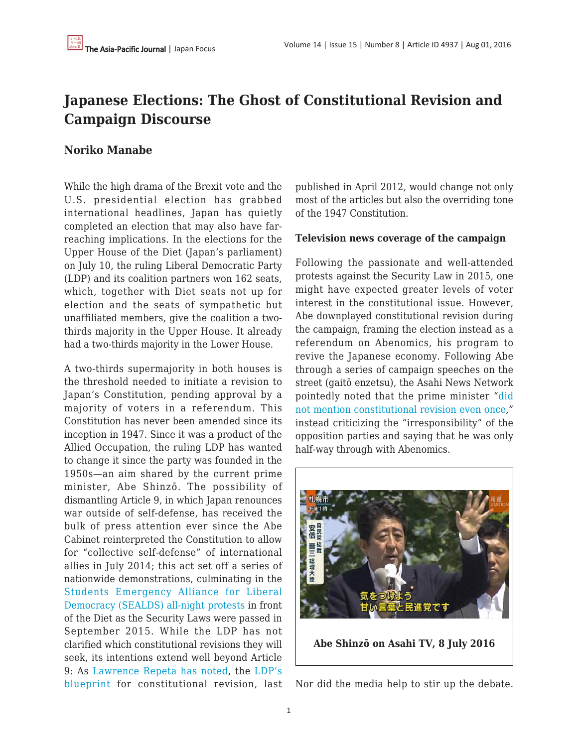# **Japanese Elections: The Ghost of Constitutional Revision and Campaign Discourse**

### **Noriko Manabe**

While the high drama of the Brexit vote and the U.S. presidential election has grabbed international headlines, Japan has quietly completed an election that may also have farreaching implications. In the elections for the Upper House of the Diet (Japan's parliament) on July 10, the ruling Liberal Democratic Party (LDP) and its coalition partners won 162 seats, which, together with Diet seats not up for election and the seats of sympathetic but unaffiliated members, give the coalition a twothirds majority in the Upper House. It already had a two-thirds majority in the Lower House.

A two-thirds supermajority in both houses is the threshold needed to initiate a revision to Japan's Constitution, pending approval by a majority of voters in a referendum. This Constitution has never been amended since its inception in 1947. Since it was a product of the Allied Occupation, the ruling LDP has wanted to change it since the party was founded in the 1950s—an aim shared by the current prime minister, Abe Shinzō. The possibility of dismantling Article 9, in which Japan renounces war outside of self-defense, has received the bulk of press attention ever since the Abe Cabinet reinterpreted the Constitution to allow for "collective self-defense" of international allies in July 2014; this act set off a series of nationwide demonstrations, culminating in the [Students Emergency Alliance for Liberal](https://www.youtube.com/watch?v=hWF_M1VAXzA) [Democracy \(SEALDS\) all-night protests](https://www.youtube.com/watch?v=hWF_M1VAXzA) in front of the Diet as the Security Laws were passed in September 2015. While the LDP has not clarified which constitutional revisions they will seek, its intentions extend well beyond Article 9: As [Lawrence Repeta has noted,](https://apjjf.org/2013/11/28/Lawrence-Repeta/3969/article.html) the [LDP's](https://www.jimin.jp/activity/colum/116667.html) [blueprint](https://www.jimin.jp/activity/colum/116667.html) for constitutional revision, last

published in April 2012, would change not only most of the articles but also the overriding tone of the 1947 Constitution.

#### **Television news coverage of the campaign**

Following the passionate and well-attended protests against the Security Law in 2015, one might have expected greater levels of voter interest in the constitutional issue. However, Abe downplayed constitutional revision during the campaign, framing the election instead as a referendum on Abenomics, his program to revive the Japanese economy. Following Abe through a series of campaign speeches on the street (gaitō enzetsu), the Asahi News Network pointedly noted that the prime minister "[did](http://www.tv-asahi.co.jp/dap/bangumi/hst/feature/detail.php?news_id=46798) [not mention constitutional revision even once](http://www.tv-asahi.co.jp/dap/bangumi/hst/feature/detail.php?news_id=46798)," instead criticizing the "irresponsibility" of the opposition parties and saying that he was only half-way through with Abenomics.



Nor did the media help to stir up the debate.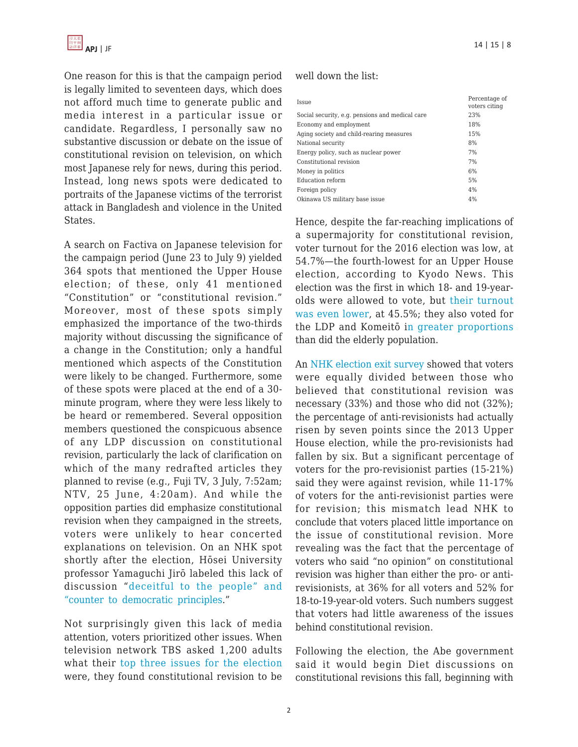

One reason for this is that the campaign period is legally limited to seventeen days, which does not afford much time to generate public and media interest in a particular issue or candidate. Regardless, I personally saw no substantive discussion or debate on the issue of constitutional revision on television, on which most Japanese rely for news, during this period. Instead, long news spots were dedicated to portraits of the Japanese victims of the terrorist attack in Bangladesh and violence in the United States.

A search on Factiva on Japanese television for the campaign period (June 23 to July 9) yielded 364 spots that mentioned the Upper House election; of these, only 41 mentioned "Constitution" or "constitutional revision." Moreover, most of these spots simply emphasized the importance of the two-thirds majority without discussing the significance of a change in the Constitution; only a handful mentioned which aspects of the Constitution were likely to be changed. Furthermore, some of these spots were placed at the end of a 30 minute program, where they were less likely to be heard or remembered. Several opposition members questioned the conspicuous absence of any LDP discussion on constitutional revision, particularly the lack of clarification on which of the many redrafted articles they planned to revise (e.g., Fuji TV, 3 July, 7:52am; NTV, 25 June, 4:20am). And while the opposition parties did emphasize constitutional revision when they campaigned in the streets, voters were unlikely to hear concerted explanations on television. On an NHK spot shortly after the election, Hōsei University professor Yamaguchi Jirō labeled this lack of discussion "[deceitful to the people" and](https://youtu.be/92au5YlGXHU?t=54s) ["counter to democratic principles.](https://youtu.be/92au5YlGXHU?t=54s)"

Not surprisingly given this lack of media attention, voters prioritized other issues. When television network TBS asked 1,200 adults what their [top three issues for the election](http://news.tbs.co.jp/newsi_sp/yoron/backnumber/20160702/q2-2.html) were, they found constitutional revision to be

#### well down the list:

| Issue                                           | Percentage of<br>voters citing |
|-------------------------------------------------|--------------------------------|
| Social security, e.g. pensions and medical care | 23%                            |
| Economy and employment                          | 18%                            |
| Aging society and child-rearing measures        | 15%                            |
| National security                               | 8%                             |
| Energy policy, such as nuclear power            | 7%                             |
| Constitutional revision                         | 7%                             |
| Money in politics                               | 6%                             |
| Education reform                                | 5%                             |
| Foreign policy                                  | 4%                             |
| Okinawa US military base issue                  | 4%                             |

Hence, despite the far-reaching implications of a supermajority for constitutional revision, voter turnout for the 2016 election was low, at 54.7%—the fourth-lowest for an Upper House election, according to Kyodo News. This election was the first in which 18- and 19-yearolds were allowed to vote, but [their turnout](http://www3.nhk.or.jp/news/html/20160711/k10010591641000.html) [was even lower](http://www3.nhk.or.jp/news/html/20160711/k10010591641000.html), at 45.5%; they also voted for the LDP and Komeitō i[n greater proportions](http://www.asahi.com/ajw/articles/AJ201607110058.html) than did the elderly population.

An [NHK election exit survey](http://www3.nhk.or.jp/news/web_tokushu/2016_0711.html) showed that voters were equally divided between those who believed that constitutional revision was necessary (33%) and those who did not (32%); the percentage of anti-revisionists had actually risen by seven points since the 2013 Upper House election, while the pro-revisionists had fallen by six. But a significant percentage of voters for the pro-revisionist parties (15-21%) said they were against revision, while 11-17% of voters for the anti-revisionist parties were for revision; this mismatch lead NHK to conclude that voters placed little importance on the issue of constitutional revision. More revealing was the fact that the percentage of voters who said "no opinion" on constitutional revision was higher than either the pro- or antirevisionists, at 36% for all voters and 52% for 18-to-19-year-old voters. Such numbers suggest that voters had little awareness of the issues behind constitutional revision.

Following the election, the Abe government said it would begin Diet discussions on constitutional revisions this fall, beginning with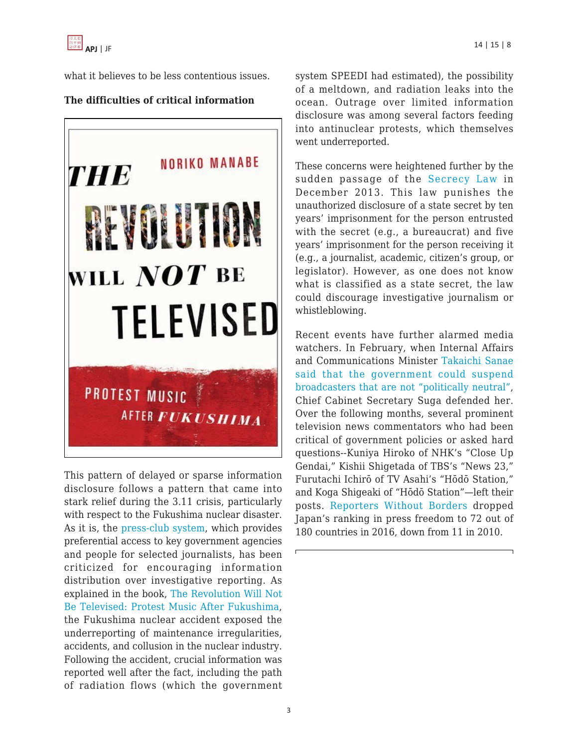

what it believes to be less contentious issues.

## **The difficulties of critical information**



This pattern of delayed or sparse information disclosure follows a pattern that came into stark relief during the 3.11 crisis, particularly with respect to the Fukushima nuclear disaster. As it is, the [press-club system](http://press.princeton.edu/titles/6838.html), which provides preferential access to key government agencies and people for selected journalists, has been criticized for encouraging information distribution over investigative reporting. As explained in the book, [The Revolution Will Not](https://global.oup.com/academic/product/the-revolution-will-not-be-televised-9780199334698?cc=us&lang=en) [Be Televised: Protest Music After Fukushima,](https://global.oup.com/academic/product/the-revolution-will-not-be-televised-9780199334698?cc=us&lang=en) the Fukushima nuclear accident exposed the underreporting of maintenance irregularities, accidents, and collusion in the nuclear industry. Following the accident, crucial information was reported well after the fact, including the path of radiation flows (which the government system SPEEDI had estimated), the possibility of a meltdown, and radiation leaks into the ocean. Outrage over limited information disclosure was among several factors feeding into antinuclear protests, which themselves went underreported.

These concerns were heightened further by the sudden passage of the [Secrecy Law](https://apjjf.org/2014/12/10/Lawrence-Repeta/4086/article.html) in December 2013. This law punishes the unauthorized disclosure of a state secret by ten years' imprisonment for the person entrusted with the secret (e.g., a bureaucrat) and five years' imprisonment for the person receiving it (e.g., a journalist, academic, citizen's group, or legislator). However, as one does not know what is classified as a state secret, the law could discourage investigative journalism or whistleblowing.

Recent events have further alarmed media watchers. In February, when Internal Affairs and Communications Minister [Takaichi Sanae](http://www.japantimes.co.jp/news/2016/02/09/national/politics-diplomacy/minister-warns-that-government-can-shut-down-broadcasters-it-feels-are-biased/#.V4v3K46vEg4) [said that the government could suspend](http://www.japantimes.co.jp/news/2016/02/09/national/politics-diplomacy/minister-warns-that-government-can-shut-down-broadcasters-it-feels-are-biased/#.V4v3K46vEg4) [broadcasters that are not "politically neutral",](http://www.japantimes.co.jp/news/2016/02/09/national/politics-diplomacy/minister-warns-that-government-can-shut-down-broadcasters-it-feels-are-biased/#.V4v3K46vEg4) Chief Cabinet Secretary Suga defended her. Over the following months, several prominent television news commentators who had been critical of government policies or asked hard questions--Kuniya Hiroko of NHK's "Close Up Gendai," Kishii Shigetada of TBS's "News 23," Furutachi Ichirō of TV Asahi's "Hōdō Station," and Koga Shigeaki of "Hōdō Station"—left their posts. [Reporters Without Borders](https://rsf.org/en/japan) dropped Japan's ranking in press freedom to 72 out of 180 countries in 2016, down from 11 in 2010.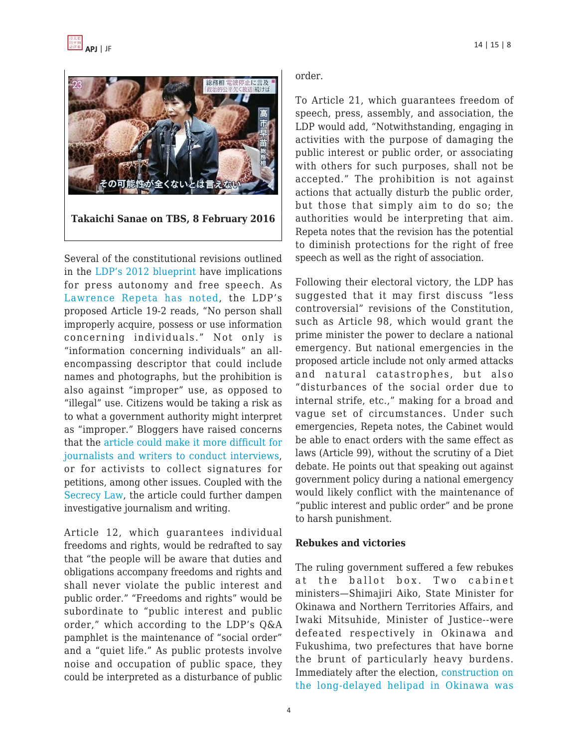

Several of the constitutional revisions outlined in the [LDP's 2012 blueprint](https://www.jimin.jp/activity/colum/116667.html) have implications for press autonomy and free speech. As [Lawrence Repeta has noted](https://apjjf.org/2013/11/28/Lawrence-Repeta/3969/article.html), the LDP's proposed Article 19-2 reads, "No person shall improperly acquire, possess or use information concerning individuals." Not only is "information concerning individuals" an allencompassing descriptor that could include names and photographs, but the prohibition is also against "improper" use, as opposed to "illegal" use. Citizens would be taking a risk as to what a government authority might interpret as "improper." Bloggers have raised concerns that the [article could make it more difficult for](http://satlaws.web.fc2.com/0140.html) [journalists and writers to conduct interviews,](http://satlaws.web.fc2.com/0140.html) or for activists to collect signatures for petitions, among other issues. Coupled with the [Secrecy Law,](http://www.japanfocus.org/-Lawrence-Repeta/4086) the article could further dampen investigative journalism and writing.

Article 12, which guarantees individual freedoms and rights, would be redrafted to say that "the people will be aware that duties and obligations accompany freedoms and rights and shall never violate the public interest and public order." "Freedoms and rights" would be subordinate to "public interest and public order," which according to the LDP's Q&A pamphlet is the maintenance of "social order" and a "quiet life." As public protests involve noise and occupation of public space, they could be interpreted as a disturbance of public order.

To Article 21, which guarantees freedom of speech, press, assembly, and association, the LDP would add, "Notwithstanding, engaging in activities with the purpose of damaging the public interest or public order, or associating with others for such purposes, shall not be accepted." The prohibition is not against actions that actually disturb the public order, but those that simply aim to do so; the authorities would be interpreting that aim. Repeta notes that the revision has the potential to diminish protections for the right of free speech as well as the right of association.

Following their electoral victory, the LDP has suggested that it may first discuss "less controversial" revisions of the Constitution, such as Article 98, which would grant the prime minister the power to declare a national emergency. But national emergencies in the proposed article include not only armed attacks and natural catastrophes, but also "disturbances of the social order due to internal strife, etc.," making for a broad and vague set of circumstances. Under such emergencies, Repeta notes, the Cabinet would be able to enact orders with the same effect as laws (Article 99), without the scrutiny of a Diet debate. He points out that speaking out against government policy during a national emergency would likely conflict with the maintenance of "public interest and public order" and be prone to harsh punishment.

#### **Rebukes and victories**

The ruling government suffered a few rebukes at the ballot box. Two cabinet ministers—Shimajiri Aiko, State Minister for Okinawa and Northern Territories Affairs, and Iwaki Mitsuhide, Minister of Justice--were defeated respectively in Okinawa and Fukushima, two prefectures that have borne the brunt of particularly heavy burdens. Immediately after the election, [construction on](http://www.asahi.com/ajw/articles/AJ201607120052.html) [the long-delayed helipad in Okinawa was](http://www.asahi.com/ajw/articles/AJ201607120052.html)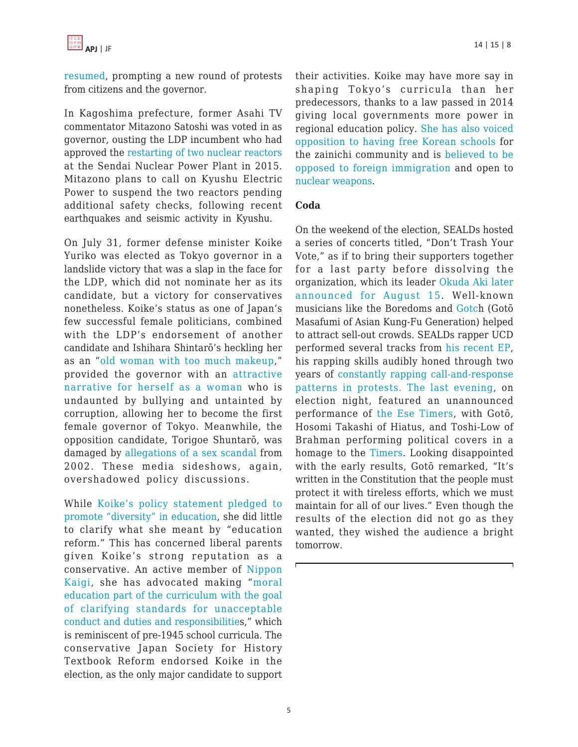[resumed,](http://www.asahi.com/ajw/articles/AJ201607120052.html) prompting a new round of protests from citizens and the governor.

In Kagoshima prefecture, former Asahi TV commentator Mitazono Satoshi was voted in as governor, ousting the LDP incumbent who had approved the [restarting of two nuclear reactors](http://www.japantimes.co.jp/news/2015/08/12/national/protestors-gather-reactor-kagoshima-restarts/) at the Sendai Nuclear Power Plant in 2015. Mitazono plans to call on Kyushu Electric Power to suspend the two reactors pending additional safety checks, following recent earthquakes and seismic activity in Kyushu.

On July 31, former defense minister Koike Yuriko was elected as Tokyo governor in a landslide victory that was a slap in the face for the LDP, which did not nominate her as its candidate, but a victory for conservatives nonetheless. Koike's status as one of Japan's few successful female politicians, combined with the LDP's endorsement of another candidate and Ishihara Shintarō's heckling her as an "[old woman with too much makeup,](http://www.j-cast.com/2016/07/27273726.html)" provided the governor with an [attractive](http://www.japantoday.com/category/politics/view/koike-cleans-up-in-style-over-substance-tokyo-governor-race) [narrative for herself as a woman](http://www.japantoday.com/category/politics/view/koike-cleans-up-in-style-over-substance-tokyo-governor-race) who is undaunted by bullying and untainted by corruption, allowing her to become the first female governor of Tokyo. Meanwhile, the opposition candidate, Torigoe Shuntarō, was damaged by [allegations of a sex scandal](https://www.theguardian.com/world/2016/jul/29/dirtiest-race-tokyo-governors-election-sex-scandal-misogny) from 2002. These media sideshows, again, overshadowed policy discussions.

While [Koike's policy statement pledged to](https://www.yuriko.or.jp/kihon) [promote "diversity" in education,](https://www.yuriko.or.jp/kihon) she did little to clarify what she meant by "education reform." This has concerned liberal parents given Koike's strong reputation as a conservative. An active member of [Nippon](https://www.google.co.jp/url?sa=t&rct=j&q=&esrc=s&source=web&cd=2&cad=rja&uact=8&ved=0ahUKEwja8amlx6XOAhWBi5QKHdQJBBEQFggoMAE&url=http%3A%2F%2Flite-ra.com%2F2016%2F08%2Fpost-2465.html&usg=AFQjCNH-eJ-i1aY71OrDw7NubQYiPu4J3Q&bvm=bv.128617741,d.dGo) [Kaigi](https://www.google.co.jp/url?sa=t&rct=j&q=&esrc=s&source=web&cd=2&cad=rja&uact=8&ved=0ahUKEwja8amlx6XOAhWBi5QKHdQJBBEQFggoMAE&url=http%3A%2F%2Flite-ra.com%2F2016%2F08%2Fpost-2465.html&usg=AFQjCNH-eJ-i1aY71OrDw7NubQYiPu4J3Q&bvm=bv.128617741,d.dGo), she has advocated making "[moral](http://www.yuriko.or.jp/english/wp-content/uploads/sites/2/2013/03/manifesto-eng.pdf) [education part of the curriculum with the goal](http://www.yuriko.or.jp/english/wp-content/uploads/sites/2/2013/03/manifesto-eng.pdf) [of clarifying standards for unacceptable](http://www.yuriko.or.jp/english/wp-content/uploads/sites/2/2013/03/manifesto-eng.pdf) [conduct and duties and responsibilitie](http://www.yuriko.or.jp/english/wp-content/uploads/sites/2/2013/03/manifesto-eng.pdf)s," which is reminiscent of pre-1945 school curricula. The conservative Japan Society for History Textbook Reform endorsed Koike in the election, as the only major candidate to support their activities. Koike may have more say in shaping Tokyo's curricula than her predecessors, thanks to a law passed in 2014 giving local governments more power in regional education policy. [She has also voiced](https://twitter.com/ecoyuri/status/10322465646) [opposition to having free Korean schools](https://twitter.com/ecoyuri/status/10322465646) for the zainichi community and is [believed to be](https://www.theguardian.com/world/2016/jul/31/tokyo-elects-first-female-governor) [opposed to foreign immigration](https://www.theguardian.com/world/2016/jul/31/tokyo-elects-first-female-governor) and open to [nuclear weapons](http://lite-ra.com/2016/07/post-2438.html).

#### **Coda**

On the weekend of the election, SEALDs hosted a series of concerts titled, "Don't Trash Your Vote," as if to bring their supporters together for a last party before dissolving the organization, which its leader [Okuda Aki later](http://www.huffingtonpost.jp/2016/07/10/aki-okuda-sealds_n_10921100.html) [announced for August 15](http://www.huffingtonpost.jp/2016/07/10/aki-okuda-sealds_n_10921100.html). Well-known musicians like the Boredoms and [Gotch](http://gotch.info/) (Gotō Masafumi of Asian Kung-Fu Generation) helped to attract sell-out crowds. SEALDs rapper UCD performed several tracks from [his recent EP,](https://soundcloud.com/tha-bullshit) his rapping skills audibly honed through two years of [constantly rapping call-and-response](http://global.oup.com/us/companion.websites/9780199334698/ch8/wf8.1/) [patterns in protests.](http://global.oup.com/us/companion.websites/9780199334698/ch8/wf8.1/) [The last evening,](https://www.instagram.com/p/BHz7S2Hjo7f/) on election night, featured an unannounced performance of [the Ese Timers](http://youtu.be/MJyVYjaWlbw), with Gotō, Hosomi Takashi of Hiatus, and Toshi-Low of Brahman performing political covers in a homage to the [Timers.](https://www.youtube.com/watch?v=4wK4a60CmxM) Looking disappointed with the early results, Gotō remarked, "It's written in the Constitution that the people must protect it with tireless efforts, which we must maintain for all of our lives." Even though the results of the election did not go as they wanted, they wished the audience a bright tomorrow.